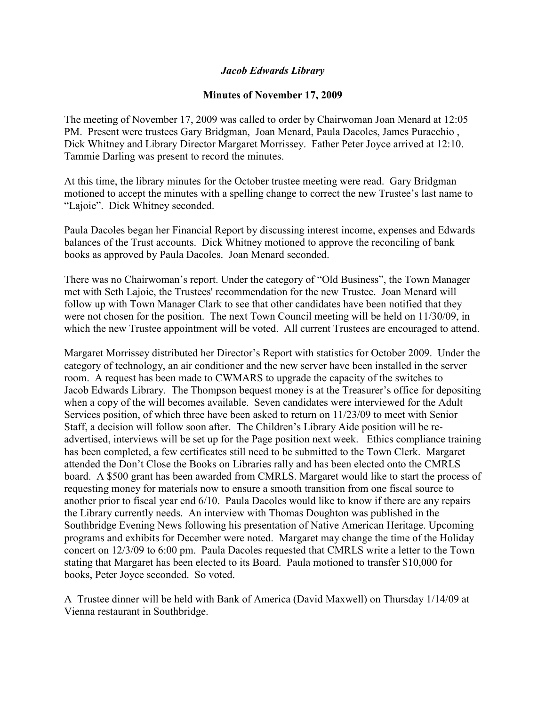## *Jacob Edwards Library*

## **Minutes of November 17, 2009**

The meeting of November 17, 2009 was called to order by Chairwoman Joan Menard at 12:05 PM. Present were trustees Gary Bridgman, Joan Menard, Paula Dacoles, James Puracchio , Dick Whitney and Library Director Margaret Morrissey. Father Peter Joyce arrived at 12:10. Tammie Darling was present to record the minutes.

At this time, the library minutes for the October trustee meeting were read. Gary Bridgman motioned to accept the minutes with a spelling change to correct the new Trustee's last name to "Lajoie". Dick Whitney seconded.

Paula Dacoles began her Financial Report by discussing interest income, expenses and Edwards balances of the Trust accounts. Dick Whitney motioned to approve the reconciling of bank books as approved by Paula Dacoles. Joan Menard seconded.

There was no Chairwoman's report. Under the category of "Old Business", the Town Manager met with Seth Lajoie, the Trustees' recommendation for the new Trustee. Joan Menard will follow up with Town Manager Clark to see that other candidates have been notified that they were not chosen for the position. The next Town Council meeting will be held on 11/30/09, in which the new Trustee appointment will be voted. All current Trustees are encouraged to attend.

Margaret Morrissey distributed her Director's Report with statistics for October 2009. Under the category of technology, an air conditioner and the new server have been installed in the server room. A request has been made to CWMARS to upgrade the capacity of the switches to Jacob Edwards Library. The Thompson bequest money is at the Treasurer's office for depositing when a copy of the will becomes available. Seven candidates were interviewed for the Adult Services position, of which three have been asked to return on 11/23/09 to meet with Senior Staff, a decision will follow soon after. The Children's Library Aide position will be readvertised, interviews will be set up for the Page position next week. Ethics compliance training has been completed, a few certificates still need to be submitted to the Town Clerk. Margaret attended the Don't Close the Books on Libraries rally and has been elected onto the CMRLS board. A \$500 grant has been awarded from CMRLS. Margaret would like to start the process of requesting money for materials now to ensure a smooth transition from one fiscal source to another prior to fiscal year end 6/10. Paula Dacoles would like to know if there are any repairs the Library currently needs. An interview with Thomas Doughton was published in the Southbridge Evening News following his presentation of Native American Heritage. Upcoming programs and exhibits for December were noted. Margaret may change the time of the Holiday concert on 12/3/09 to 6:00 pm. Paula Dacoles requested that CMRLS write a letter to the Town stating that Margaret has been elected to its Board. Paula motioned to transfer \$10,000 for books, Peter Joyce seconded. So voted.

A Trustee dinner will be held with Bank of America (David Maxwell) on Thursday 1/14/09 at Vienna restaurant in Southbridge.